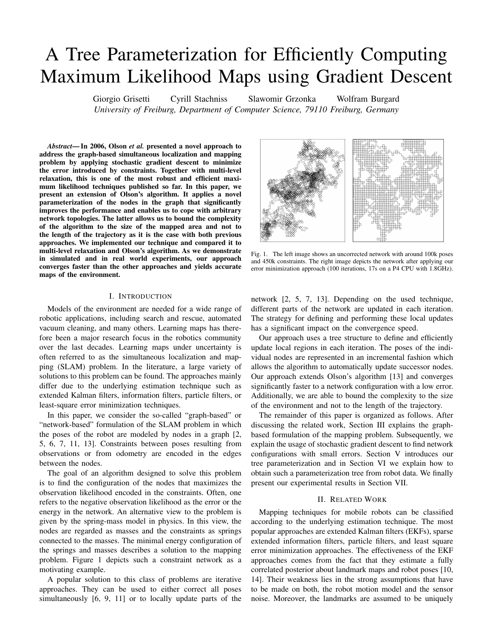# A Tree Parameterization for Efficiently Computing Maximum Likelihood Maps using Gradient Descent

Giorgio Grisetti Cyrill Stachniss Slawomir Grzonka Wolfram Burgard *University of Freiburg, Department of Computer Science, 79110 Freiburg, Germany*

*Abstract***— In 2006, Olson** *et al.* **presented a novel approach to address the graph-based simultaneous localization and mapping problem by applying stochastic gradient descent to minimize the error introduced by constraints. Together with multi-level relaxation, this is one of the most robust and efficient maximum likelihood techniques published so far. In this paper, we present an extension of Olson's algorithm. It applies a novel parameterization of the nodes in the graph that significantly improves the performance and enables us to cope with arbitrary network topologies. The latter allows us to bound the complexity of the algorithm to the size of the mapped area and not to the length of the trajectory as it is the case with both previous approaches. We implemented our technique and compared it to multi-level relaxation and Olson's algorithm. As we demonstrate in simulated and in real world experiments, our approach converges faster than the other approaches and yields accurate maps of the environment.**

## I. INTRODUCTION

Models of the environment are needed for a wide range of robotic applications, including search and rescue, automated vacuum cleaning, and many others. Learning maps has therefore been a major research focus in the robotics community over the last decades. Learning maps under uncertainty is often referred to as the simultaneous localization and mapping (SLAM) problem. In the literature, a large variety of solutions to this problem can be found. The approaches mainly differ due to the underlying estimation technique such as extended Kalman filters, information filters, particle filters, or least-square error minimization techniques.

In this paper, we consider the so-called "graph-based" or "network-based" formulation of the SLAM problem in which the poses of the robot are modeled by nodes in a graph [2, 5, 6, 7, 11, 13]. Constraints between poses resulting from observations or from odometry are encoded in the edges between the nodes.

The goal of an algorithm designed to solve this problem is to find the configuration of the nodes that maximizes the observation likelihood encoded in the constraints. Often, one refers to the negative observation likelihood as the error or the energy in the network. An alternative view to the problem is given by the spring-mass model in physics. In this view, the nodes are regarded as masses and the constraints as springs connected to the masses. The minimal energy configuration of the springs and masses describes a solution to the mapping problem. Figure 1 depicts such a constraint network as a motivating example.

A popular solution to this class of problems are iterative approaches. They can be used to either correct all poses simultaneously [6, 9, 11] or to locally update parts of the



Fig. 1. The left image shows an uncorrected network with around 100k poses and 450k constraints. The right image depicts the network after applying our error minimization approach (100 iterations, 17s on a P4 CPU with 1.8GHz).

network [2, 5, 7, 13]. Depending on the used technique, different parts of the network are updated in each iteration. The strategy for defining and performing these local updates has a significant impact on the convergence speed.

Our approach uses a tree structure to define and efficiently update local regions in each iteration. The poses of the individual nodes are represented in an incremental fashion which allows the algorithm to automatically update successor nodes. Our approach extends Olson's algorithm [13] and converges significantly faster to a network configuration with a low error. Additionally, we are able to bound the complexity to the size of the environment and not to the length of the trajectory.

The remainder of this paper is organized as follows. After discussing the related work, Section III explains the graphbased formulation of the mapping problem. Subsequently, we explain the usage of stochastic gradient descent to find network configurations with small errors. Section V introduces our tree parameterization and in Section VI we explain how to obtain such a parameterization tree from robot data. We finally present our experimental results in Section VII.

### II. RELATED WORK

Mapping techniques for mobile robots can be classified according to the underlying estimation technique. The most popular approaches are extended Kalman filters (EKFs), sparse extended information filters, particle filters, and least square error minimization approaches. The effectiveness of the EKF approaches comes from the fact that they estimate a fully correlated posterior about landmark maps and robot poses [10, 14]. Their weakness lies in the strong assumptions that have to be made on both, the robot motion model and the sensor noise. Moreover, the landmarks are assumed to be uniquely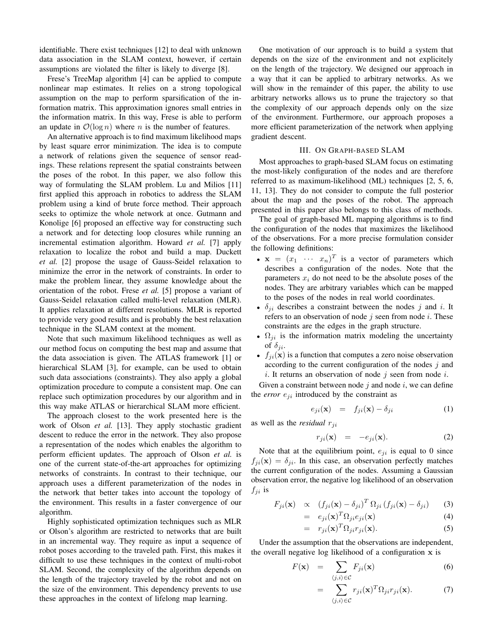identifiable. There exist techniques [12] to deal with unknown data association in the SLAM context, however, if certain assumptions are violated the filter is likely to diverge [8].

Frese's TreeMap algorithm [4] can be applied to compute nonlinear map estimates. It relies on a strong topological assumption on the map to perform sparsification of the information matrix. This approximation ignores small entries in the information matrix. In this way, Frese is able to perform an update in  $\mathcal{O}(\log n)$  where *n* is the number of features.

An alternative approach is to find maximum likelihood maps by least square error minimization. The idea is to compute a network of relations given the sequence of sensor readings. These relations represent the spatial constraints between the poses of the robot. In this paper, we also follow this way of formulating the SLAM problem. Lu and Milios [11] first applied this approach in robotics to address the SLAM problem using a kind of brute force method. Their approach seeks to optimize the whole network at once. Gutmann and Konolige [6] proposed an effective way for constructing such a network and for detecting loop closures while running an incremental estimation algorithm. Howard *et al.* [7] apply relaxation to localize the robot and build a map. Duckett *et al.* [2] propose the usage of Gauss-Seidel relaxation to minimize the error in the network of constraints. In order to make the problem linear, they assume knowledge about the orientation of the robot. Frese *et al.* [5] propose a variant of Gauss-Seidel relaxation called multi-level relaxation (MLR). It applies relaxation at different resolutions. MLR is reported to provide very good results and is probably the best relaxation technique in the SLAM context at the moment.

Note that such maximum likelihood techniques as well as our method focus on computing the best map and assume that the data association is given. The ATLAS framework [1] or hierarchical SLAM [3], for example, can be used to obtain such data associations (constraints). They also apply a global optimization procedure to compute a consistent map. One can replace such optimization procedures by our algorithm and in this way make ATLAS or hierarchical SLAM more efficient.

The approach closest to the work presented here is the work of Olson *et al.* [13]. They apply stochastic gradient descent to reduce the error in the network. They also propose a representation of the nodes which enables the algorithm to perform efficient updates. The approach of Olson *et al.* is one of the current state-of-the-art approaches for optimizing networks of constraints. In contrast to their technique, our approach uses a different parameterization of the nodes in the network that better takes into account the topology of the environment. This results in a faster convergence of our algorithm.

Highly sophisticated optimization techniques such as MLR or Olson's algorithm are restricted to networks that are built in an incremental way. They require as input a sequence of robot poses according to the traveled path. First, this makes it difficult to use these techniques in the context of multi-robot SLAM. Second, the complexity of the algorithm depends on the length of the trajectory traveled by the robot and not on the size of the environment. This dependency prevents to use these approaches in the context of lifelong map learning.

One motivation of our approach is to build a system that depends on the size of the environment and not explicitely on the length of the trajectory. We designed our approach in a way that it can be applied to arbitrary networks. As we will show in the remainder of this paper, the ability to use arbitrary networks allows us to prune the trajectory so that the complexity of our approach depends only on the size of the environment. Furthermore, our approach proposes a more efficient parameterization of the network when applying gradient descent.

# III. ON GRAPH-BASED SLAM

Most approaches to graph-based SLAM focus on estimating the most-likely configuration of the nodes and are therefore referred to as maximum-likelihood (ML) techniques [2, 5, 6, 11, 13]. They do not consider to compute the full posterior about the map and the poses of the robot. The approach presented in this paper also belongs to this class of methods.

The goal of graph-based ML mapping algorithms is to find the configuration of the nodes that maximizes the likelihood of the observations. For a more precise formulation consider the following definitions:

- $\mathbf{x} = (x_1 \cdots x_n)^T$  is a vector of parameters which describes a configuration of the nodes. Note that the parameters  $x_i$  do not need to be the absolute poses of the nodes. They are arbitrary variables which can be mapped to the poses of the nodes in real world coordinates.
- $\delta_{ii}$  describes a constraint between the nodes j and i. It refers to an observation of node  $i$  seen from node  $i$ . These constraints are the edges in the graph structure.
- $\Omega_{ji}$  is the information matrix modeling the uncertainty of  $\delta_{ii}$ .
- $f_{ii}(\mathbf{x})$  is a function that computes a zero noise observation according to the current configuration of the nodes  $j$  and i. It returns an observation of node  $i$  seen from node  $i$ .

Given a constraint between node  $i$  and node  $i$ , we can define the *error*  $e_{ii}$  introduced by the constraint as

$$
e_{ji}(\mathbf{x}) = f_{ji}(\mathbf{x}) - \delta_{ji} \tag{1}
$$

as well as the *residual*  $r_{ii}$ 

$$
r_{ji}(\mathbf{x}) = -e_{ji}(\mathbf{x}). \tag{2}
$$

Note that at the equilibrium point,  $e_{ji}$  is equal to 0 since  $f_{ji}(\mathbf{x}) = \delta_{ji}$ . In this case, an observation perfectly matches the current configuration of the nodes. Assuming a Gaussian observation error, the negative log likelihood of an observation  $f_{ji}$  is

$$
F_{ji}(\mathbf{x}) \propto (f_{ji}(\mathbf{x}) - \delta_{ji})^T \Omega_{ji} (f_{ji}(\mathbf{x}) - \delta_{ji}) \qquad (3)
$$

$$
= e_{ji}(\mathbf{x})^T \Omega_{ji} e_{ji}(\mathbf{x}) \tag{4}
$$

$$
= r_{ji}(\mathbf{x})^T \Omega_{ji} r_{ji}(\mathbf{x}). \tag{5}
$$

Under the assumption that the observations are independent, the overall negative log likelihood of a configuration x is

$$
F(\mathbf{x}) = \sum_{\langle j,i\rangle \in \mathcal{C}} F_{ji}(\mathbf{x}) \tag{6}
$$

$$
= \sum_{\langle j,i\rangle \in \mathcal{C}} r_{ji}(\mathbf{x})^T \Omega_{ji} r_{ji}(\mathbf{x}). \tag{7}
$$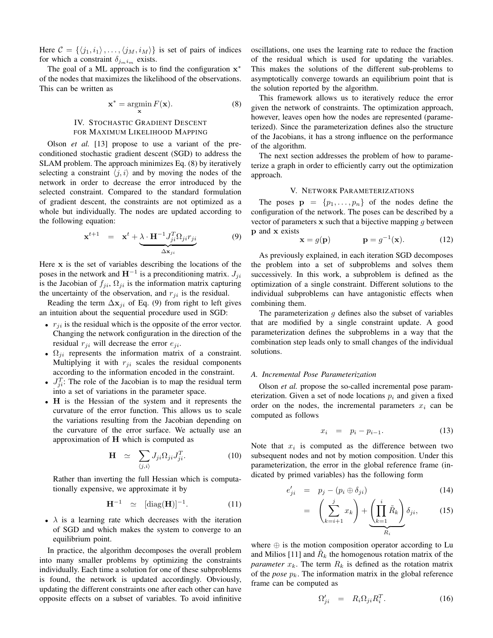Here  $C = \{\langle j_1, i_1\rangle, \ldots, \langle j_M, i_M\rangle\}$  is set of pairs of indices for which a constraint  $\delta_{j_m i_m}$  exists.

The goal of a ML approach is to find the configuration  $x^*$ of the nodes that maximizes the likelihood of the observations. This can be written as

$$
\mathbf{x}^* = \operatorname*{argmin}_{\mathbf{x}} F(\mathbf{x}).\tag{8}
$$

# IV. STOCHASTIC GRADIENT DESCENT FOR MAXIMUM LIKELIHOOD MAPPING

Olson *et al.* [13] propose to use a variant of the preconditioned stochastic gradient descent (SGD) to address the SLAM problem. The approach minimizes Eq. (8) by iteratively selecting a constraint  $\langle j, i \rangle$  and by moving the nodes of the network in order to decrease the error introduced by the selected constraint. Compared to the standard formulation of gradient descent, the constraints are not optimized as a whole but individually. The nodes are updated according to the following equation:

$$
\mathbf{x}^{t+1} = \mathbf{x}^t + \underbrace{\lambda \cdot \mathbf{H}^{-1} J_{ji}^T \Omega_{ji} r_{ji}}_{\Delta \mathbf{x}_{ji}}
$$
(9)

Here  $x$  is the set of variables describing the locations of the poses in the network and  $H^{-1}$  is a preconditioning matrix.  $J_{ji}$ is the Jacobian of  $f_{ji}$ ,  $\Omega_{ji}$  is the information matrix capturing the uncertainty of the observation, and  $r_{ji}$  is the residual.

Reading the term  $\Delta x_{ji}$  of Eq. (9) from right to left gives an intuition about the sequential procedure used in SGD:

- $r_{ji}$  is the residual which is the opposite of the error vector. Changing the network configuration in the direction of the residual  $r_{ji}$  will decrease the error  $e_{ji}$ .
- $\Omega_{ji}$  represents the information matrix of a constraint. Multiplying it with  $r_{ji}$  scales the residual components according to the information encoded in the constraint.
- $J_{ji}^T$ : The role of the Jacobian is to map the residual term into a set of variations in the parameter space.
- H is the Hessian of the system and it represents the curvature of the error function. This allows us to scale the variations resulting from the Jacobian depending on the curvature of the error surface. We actually use an approximation of H which is computed as

$$
\mathbf{H} \simeq \sum_{\langle j,i \rangle} J_{ji} \Omega_{ji} J_{ji}^T. \tag{10}
$$

Rather than inverting the full Hessian which is computationally expensive, we approximate it by

$$
\mathbf{H}^{-1} \quad \simeq \quad [\text{diag}(\mathbf{H})]^{-1}.
$$
 (11)

•  $\lambda$  is a learning rate which decreases with the iteration of SGD and which makes the system to converge to an equilibrium point.

In practice, the algorithm decomposes the overall problem into many smaller problems by optimizing the constraints individually. Each time a solution for one of these subproblems is found, the network is updated accordingly. Obviously, updating the different constraints one after each other can have opposite effects on a subset of variables. To avoid infinitive oscillations, one uses the learning rate to reduce the fraction of the residual which is used for updating the variables. This makes the solutions of the different sub-problems to asymptotically converge towards an equilibrium point that is the solution reported by the algorithm.

This framework allows us to iteratively reduce the error given the network of constraints. The optimization approach, however, leaves open how the nodes are represented (parameterized). Since the parameterization defines also the structure of the Jacobians, it has a strong influence on the performance of the algorithm.

The next section addresses the problem of how to parameterize a graph in order to efficiently carry out the optimization approach.

## V. NETWORK PARAMETERIZATIONS

The poses  $\mathbf{p} = \{p_1, \ldots, p_n\}$  of the nodes define the configuration of the network. The poses can be described by a vector of parameters  $x$  such that a bijective mapping  $g$  between p and x exists

$$
\mathbf{x} = g(\mathbf{p}) \qquad \mathbf{p} = g^{-1}(\mathbf{x}). \tag{12}
$$

As previously explained, in each iteration SGD decomposes the problem into a set of subproblems and solves them successively. In this work, a subproblem is defined as the optimization of a single constraint. Different solutions to the individual subproblems can have antagonistic effects when combining them.

The parameterization  $g$  defines also the subset of variables that are modified by a single constraint update. A good parameterization defines the subproblems in a way that the combination step leads only to small changes of the individual solutions.

## *A. Incremental Pose Parameterization*

Olson *et al.* propose the so-called incremental pose parameterization. Given a set of node locations  $p_i$  and given a fixed order on the nodes, the incremental parameters  $x_i$  can be computed as follows

$$
x_i = p_i - p_{i-1}.\tag{13}
$$

Note that  $x_i$  is computed as the difference between two subsequent nodes and not by motion composition. Under this parameterization, the error in the global reference frame (indicated by primed variables) has the following form

$$
e'_{ji} = p_j - (p_i \oplus \delta_{ji}) \tag{14}
$$

$$
= \left(\sum_{k=i+1}^{j} x_k\right) + \underbrace{\left(\prod_{k=1}^{i} \tilde{R}_k\right)}_{R_i} \delta_{ji}, \qquad (15)
$$

where ⊕ is the motion composition operator according to Lu and Milios [11] and  $\tilde{R}_k$  the homogenous rotation matrix of the *parameter*  $x_k$ . The term  $R_k$  is defined as the rotation matrix of the *pose*  $p_k$ . The information matrix in the global reference frame can be computed as

$$
\Omega'_{ji} = R_i \Omega_{ji} R_i^T. \tag{16}
$$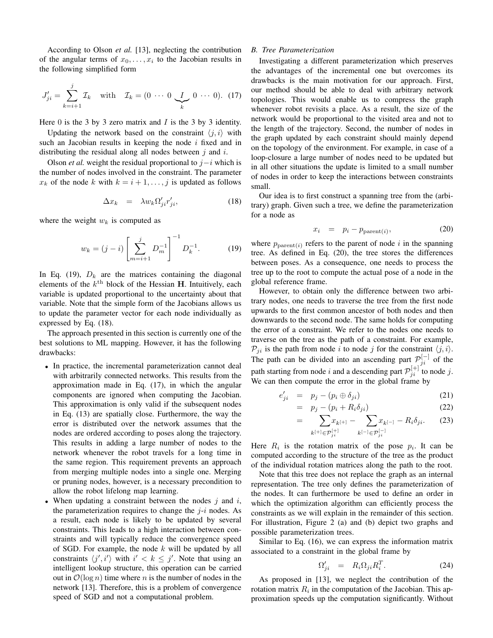According to Olson *et al.* [13], neglecting the contribution of the angular terms of  $x_0, \ldots, x_i$  to the Jacobian results in the following simplified form

$$
J'_{ji} = \sum_{k=i+1}^{j} \mathcal{I}_k \text{ with } \mathcal{I}_k = (0 \cdots 0 \underbrace{I}_{k} 0 \cdots 0). (17)
$$

Here 0 is the 3 by 3 zero matrix and  $I$  is the 3 by 3 identity.

Updating the network based on the constraint  $\langle j, i \rangle$  with such an Jacobian results in keeping the node  $i$  fixed and in distributing the residual along all nodes between  $j$  and  $i$ .

Olson *et al.* weight the residual proportional to  $j-i$  which is the number of nodes involved in the constraint. The parameter  $x_k$  of the node k with  $k = i + 1, \ldots, j$  is updated as follows

$$
\Delta x_k = \lambda w_k \Omega'_{ji} r'_{ji}, \qquad (18)
$$

where the weight  $w_k$  is computed as

$$
w_k = (j - i) \left[ \sum_{m=i+1}^{j} D_m^{-1} \right]^{-1} D_k^{-1}.
$$
 (19)

In Eq. (19),  $D_k$  are the matrices containing the diagonal elements of the  $k^{\text{th}}$  block of the Hessian H. Intuitively, each variable is updated proportional to the uncertainty about that variable. Note that the simple form of the Jacobians allows us to update the parameter vector for each node individually as expressed by Eq. (18).

The approach presented in this section is currently one of the best solutions to ML mapping. However, it has the following drawbacks:

- In practice, the incremental parameterization cannot deal with arbitrarily connected networks. This results from the approximation made in Eq. (17), in which the angular components are ignored when computing the Jacobian. This approximation is only valid if the subsequent nodes in Eq. (13) are spatially close. Furthermore, the way the error is distributed over the network assumes that the nodes are ordered according to poses along the trajectory. This results in adding a large number of nodes to the network whenever the robot travels for a long time in the same region. This requirement prevents an approach from merging multiple nodes into a single one. Merging or pruning nodes, however, is a necessary precondition to allow the robot lifelong map learning.
- When updating a constraint between the nodes  $j$  and  $i$ , the parameterization requires to change the  $i-i$  nodes. As a result, each node is likely to be updated by several constraints. This leads to a high interaction between constraints and will typically reduce the convergence speed of SGD. For example, the node  $k$  will be updated by all constraints  $\langle j', i' \rangle$  with  $i' < k \leq j'$ . Note that using an intelligent lookup structure, this operation can be carried out in  $\mathcal{O}(\log n)$  time where n is the number of nodes in the network [13]. Therefore, this is a problem of convergence speed of SGD and not a computational problem.

#### *B. Tree Parameterization*

Investigating a different parameterization which preserves the advantages of the incremental one but overcomes its drawbacks is the main motivation for our approach. First, our method should be able to deal with arbitrary network topologies. This would enable us to compress the graph whenever robot revisits a place. As a result, the size of the network would be proportional to the visited area and not to the length of the trajectory. Second, the number of nodes in the graph updated by each constraint should mainly depend on the topology of the environment. For example, in case of a loop-closure a large number of nodes need to be updated but in all other situations the update is limited to a small number of nodes in order to keep the interactions between constraints small.

Our idea is to first construct a spanning tree from the (arbitrary) graph. Given such a tree, we define the parameterization for a node as

$$
x_i = p_i - p_{\text{parent}(i)}, \tag{20}
$$

where  $p_{\text{parent}(i)}$  refers to the parent of node i in the spanning tree. As defined in Eq. (20), the tree stores the differences between poses. As a consequence, one needs to process the tree up to the root to compute the actual pose of a node in the global reference frame.

However, to obtain only the difference between two arbitrary nodes, one needs to traverse the tree from the first node upwards to the first common ancestor of both nodes and then downwards to the second node. The same holds for computing the error of a constraint. We refer to the nodes one needs to traverse on the tree as the path of a constraint. For example,  $\mathcal{P}_{ji}$  is the path from node i to node j for the constraint  $\langle j, i \rangle$ . The path can be divided into an ascending part  $\mathcal{P}_{ji}^{[-]}$  of the path starting from node i and a descending part  $\mathcal{P}_{ji}^{[+]}$  to node j. We can then compute the error in the global frame by

$$
e'_{ji} = p_j - (p_i \oplus \delta_{ji}) \tag{21}
$$

$$
= p_j - (p_i + R_i \delta_{ji}) \tag{22}
$$

$$
= \sum_{k^{[+]}\in \mathcal{P}_{ji}^{[+]}} x_{k^{[+]}} - \sum_{k^{[-]}\in \mathcal{P}_{ji}^{[-]}} x_{k^{[-]}} - R_i \delta_{ji}.
$$
 (23)

Here  $R_i$  is the rotation matrix of the pose  $p_i$ . It can be computed according to the structure of the tree as the product of the individual rotation matrices along the path to the root.

Note that this tree does not replace the graph as an internal representation. The tree only defines the parameterization of the nodes. It can furthermore be used to define an order in which the optimization algorithm can efficiently process the constraints as we will explain in the remainder of this section. For illustration, Figure 2 (a) and (b) depict two graphs and possible parameterization trees.

Similar to Eq. (16), we can express the information matrix associated to a constraint in the global frame by

$$
\Omega'_{ji} = R_i \Omega_{ji} R_i^T. \tag{24}
$$

As proposed in [13], we neglect the contribution of the rotation matrix  $R_i$  in the computation of the Jacobian. This approximation speeds up the computation significantly. Without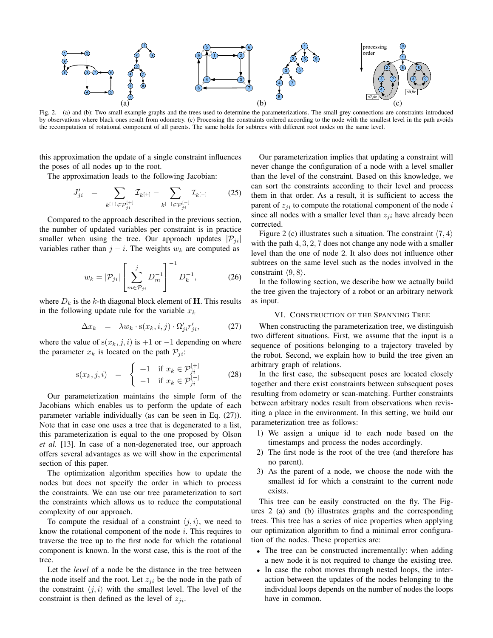

Fig. 2. (a) and (b): Two small example graphs and the trees used to determine the parameterizations. The small grey connections are constraints introduced by observations where black ones result from odometry. (c) Processing the constraints ordered according to the node with the smallest level in the path avoids the recomputation of rotational component of all parents. The same holds for subtrees with different root nodes on the same level.

this approximation the update of a single constraint influences the poses of all nodes up to the root.

The approximation leads to the following Jacobian:

$$
J'_{ji} = \sum_{k^{[+]}\in \mathcal{P}_{ji}^{[+]}} \mathcal{I}_{k^{[+]}} - \sum_{k^{[-]}\in \mathcal{P}_{ji}^{[-]}} \mathcal{I}_{k^{[-]}}
$$
 (25)

Compared to the approach described in the previous section, the number of updated variables per constraint is in practice smaller when using the tree. Our approach updates  $|\mathcal{P}_{ji}|$ variables rather than  $j - i$ . The weights  $w_k$  are computed as

$$
w_k = |\mathcal{P}_{ji}| \left[ \sum_{m \in \mathcal{P}_{ji}}^{j} D_m^{-1} \right]^{-1} D_k^{-1}, \tag{26}
$$

where  $D_k$  is the k-th diagonal block element of H. This results in the following update rule for the variable  $x_k$ 

$$
\Delta x_k = \lambda w_k \cdot \mathbf{s}(x_k, i, j) \cdot \Omega'_{ji} r'_{ji}, \tag{27}
$$

where the value of  $s(x_k, j, i)$  is +1 or -1 depending on where the parameter  $x_k$  is located on the path  $P_{ji}$ :

$$
\mathbf{s}(x_k, j, i) = \begin{cases} +1 & \text{if } x_k \in \mathcal{P}_{ji}^{[+]}\\ -1 & \text{if } x_k \in \mathcal{P}_{ji}^{[-]} \end{cases} \tag{28}
$$

Our parameterization maintains the simple form of the Jacobians which enables us to perform the update of each parameter variable individually (as can be seen in Eq. (27)). Note that in case one uses a tree that is degenerated to a list, this parameterization is equal to the one proposed by Olson *et al.* [13]. In case of a non-degenerated tree, our approach offers several advantages as we will show in the experimental section of this paper.

The optimization algorithm specifies how to update the nodes but does not specify the order in which to process the constraints. We can use our tree parameterization to sort the constraints which allows us to reduce the computational complexity of our approach.

To compute the residual of a constraint  $\langle j, i \rangle$ , we need to know the rotational component of the node  $i$ . This requires to traverse the tree up to the first node for which the rotational component is known. In the worst case, this is the root of the tree.

Let the *level* of a node be the distance in the tree between the node itself and the root. Let  $z_{ji}$  be the node in the path of the constraint  $\langle j, i \rangle$  with the smallest level. The level of the constraint is then defined as the level of  $z_{ii}$ .

Our parameterization implies that updating a constraint will never change the configuration of a node with a level smaller than the level of the constraint. Based on this knowledge, we can sort the constraints according to their level and process them in that order. As a result, it is sufficient to access the parent of  $z_{ji}$  to compute the rotational component of the node i since all nodes with a smaller level than  $z_{ji}$  have already been corrected.

Figure 2 (c) illustrates such a situation. The constraint  $\langle 7, 4 \rangle$ with the path 4, 3, 2, 7 does not change any node with a smaller level than the one of node 2. It also does not influence other subtrees on the same level such as the nodes involved in the constraint  $\langle 9, 8 \rangle$ .

In the following section, we describe how we actually build the tree given the trajectory of a robot or an arbitrary network as input.

# VI. CONSTRUCTION OF THE SPANNING TREE

When constructing the parameterization tree, we distinguish two different situations. First, we assume that the input is a sequence of positions belonging to a trajectory traveled by the robot. Second, we explain how to build the tree given an arbitrary graph of relations.

In the first case, the subsequent poses are located closely together and there exist constraints between subsequent poses resulting from odometry or scan-matching. Further constraints between arbitrary nodes result from observations when revisiting a place in the environment. In this setting, we build our parameterization tree as follows:

- 1) We assign a unique id to each node based on the timestamps and process the nodes accordingly.
- 2) The first node is the root of the tree (and therefore has no parent).
- 3) As the parent of a node, we choose the node with the smallest id for which a constraint to the current node exists.

This tree can be easily constructed on the fly. The Figures 2 (a) and (b) illustrates graphs and the corresponding trees. This tree has a series of nice properties when applying our optimization algorithm to find a minimal error configuration of the nodes. These properties are:

- The tree can be constructed incrementally: when adding a new node it is not required to change the existing tree.
- In case the robot moves through nested loops, the interaction between the updates of the nodes belonging to the individual loops depends on the number of nodes the loops have in common.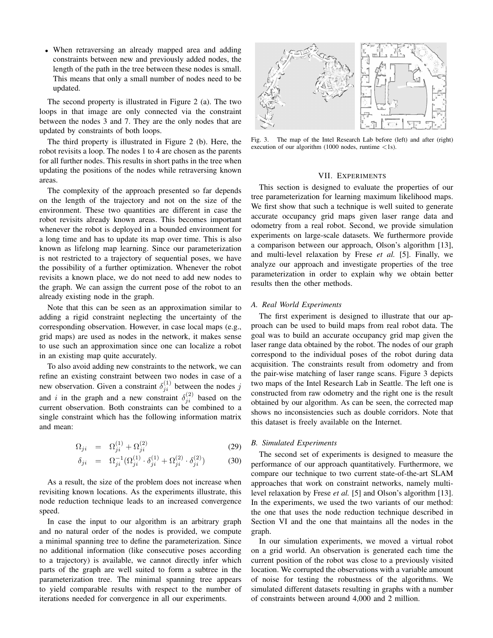• When retraversing an already mapped area and adding constraints between new and previously added nodes, the length of the path in the tree between these nodes is small. This means that only a small number of nodes need to be updated.

The second property is illustrated in Figure 2 (a). The two loops in that image are only connected via the constraint between the nodes 3 and 7. They are the only nodes that are updated by constraints of both loops.

The third property is illustrated in Figure 2 (b). Here, the robot revisits a loop. The nodes 1 to 4 are chosen as the parents for all further nodes. This results in short paths in the tree when updating the positions of the nodes while retraversing known areas.

The complexity of the approach presented so far depends on the length of the trajectory and not on the size of the environment. These two quantities are different in case the robot revisits already known areas. This becomes important whenever the robot is deployed in a bounded environment for a long time and has to update its map over time. This is also known as lifelong map learning. Since our parameterization is not restricted to a trajectory of sequential poses, we have the possibility of a further optimization. Whenever the robot revisits a known place, we do not need to add new nodes to the graph. We can assign the current pose of the robot to an already existing node in the graph.

Note that this can be seen as an approximation similar to adding a rigid constraint neglecting the uncertainty of the corresponding observation. However, in case local maps (e.g., grid maps) are used as nodes in the network, it makes sense to use such an approximation since one can localize a robot in an existing map quite accurately.

To also avoid adding new constraints to the network, we can refine an existing constraint between two nodes in case of a new observation. Given a constraint  $\delta_{ji}^{(1)}$  between the nodes j and i in the graph and a new constraint  $\delta_{ji}^{(2)}$  based on the current observation. Both constraints can be combined to a single constraint which has the following information matrix and mean:

$$
\Omega_{ji} = \Omega_{ji}^{(1)} + \Omega_{ji}^{(2)} \tag{29}
$$

$$
\delta_{ji} = \Omega_{ji}^{-1} (\Omega_{ji}^{(1)} \cdot \delta_{ji}^{(1)} + \Omega_{ji}^{(2)} \cdot \delta_{ji}^{(2)}) \tag{30}
$$

As a result, the size of the problem does not increase when revisiting known locations. As the experiments illustrate, this node reduction technique leads to an increased convergence speed.

In case the input to our algorithm is an arbitrary graph and no natural order of the nodes is provided, we compute a minimal spanning tree to define the parameterization. Since no additional information (like consecutive poses according to a trajectory) is available, we cannot directly infer which parts of the graph are well suited to form a subtree in the parameterization tree. The minimal spanning tree appears to yield comparable results with respect to the number of iterations needed for convergence in all our experiments.



Fig. 3. The map of the Intel Research Lab before (left) and after (right) execution of our algorithm (1000 nodes, runtime  $\langle 1s \rangle$ .

#### VII. EXPERIMENTS

This section is designed to evaluate the properties of our tree parameterization for learning maximum likelihood maps. We first show that such a technique is well suited to generate accurate occupancy grid maps given laser range data and odometry from a real robot. Second, we provide simulation experiments on large-scale datasets. We furthermore provide a comparison between our approach, Olson's algorithm [13], and multi-level relaxation by Frese *et al.* [5]. Finally, we analyze our approach and investigate properties of the tree parameterization in order to explain why we obtain better results then the other methods.

#### *A. Real World Experiments*

The first experiment is designed to illustrate that our approach can be used to build maps from real robot data. The goal was to build an accurate occupancy grid map given the laser range data obtained by the robot. The nodes of our graph correspond to the individual poses of the robot during data acquisition. The constraints result from odometry and from the pair-wise matching of laser range scans. Figure 3 depicts two maps of the Intel Research Lab in Seattle. The left one is constructed from raw odometry and the right one is the result obtained by our algorithm. As can be seen, the corrected map shows no inconsistencies such as double corridors. Note that this dataset is freely available on the Internet.

#### *B. Simulated Experiments*

The second set of experiments is designed to measure the performance of our approach quantitatively. Furthermore, we compare our technique to two current state-of-the-art SLAM approaches that work on constraint networks, namely multilevel relaxation by Frese *et al.* [5] and Olson's algorithm [13]. In the experiments, we used the two variants of our method: the one that uses the node reduction technique described in Section VI and the one that maintains all the nodes in the graph.

In our simulation experiments, we moved a virtual robot on a grid world. An observation is generated each time the current position of the robot was close to a previously visited location. We corrupted the observations with a variable amount of noise for testing the robustness of the algorithms. We simulated different datasets resulting in graphs with a number of constraints between around 4,000 and 2 million.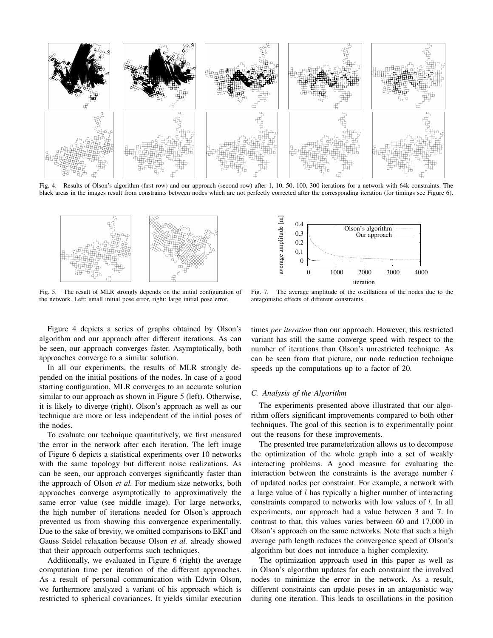

Fig. 4. Results of Olson's algorithm (first row) and our approach (second row) after 1, 10, 50, 100, 300 iterations for a network with 64k constraints. The black areas in the images result from constraints between nodes which are not perfectly corrected after the corresponding iteration (for timings see Figure 6).



Fig. 5. The result of MLR strongly depends on the initial configuration of the network. Left: small initial pose error, right: large initial pose error.

Figure 4 depicts a series of graphs obtained by Olson's algorithm and our approach after different iterations. As can be seen, our approach converges faster. Asymptotically, both approaches converge to a similar solution.

In all our experiments, the results of MLR strongly depended on the initial positions of the nodes. In case of a good starting configuration, MLR converges to an accurate solution similar to our approach as shown in Figure 5 (left). Otherwise, it is likely to diverge (right). Olson's approach as well as our technique are more or less independent of the initial poses of the nodes.

To evaluate our technique quantitatively, we first measured the error in the network after each iteration. The left image of Figure 6 depicts a statistical experiments over 10 networks with the same topology but different noise realizations. As can be seen, our approach converges significantly faster than the approach of Olson *et al.* For medium size networks, both approaches converge asymptotically to approximatively the same error value (see middle image). For large networks, the high number of iterations needed for Olson's approach prevented us from showing this convergence experimentally. Due to the sake of brevity, we omitted comparisons to EKF and Gauss Seidel relaxation because Olson *et al.* already showed that their approach outperforms such techniques.

Additionally, we evaluated in Figure 6 (right) the average computation time per iteration of the different approaches. As a result of personal communication with Edwin Olson, we furthermore analyzed a variant of his approach which is restricted to spherical covariances. It yields similar execution



Fig. 7. The average amplitude of the oscillations of the nodes due to the antagonistic effects of different constraints.

times *per iteration* than our approach. However, this restricted variant has still the same converge speed with respect to the number of iterations than Olson's unrestricted technique. As can be seen from that picture, our node reduction technique speeds up the computations up to a factor of 20.

# *C. Analysis of the Algorithm*

The experiments presented above illustrated that our algorithm offers significant improvements compared to both other techniques. The goal of this section is to experimentally point out the reasons for these improvements.

The presented tree parameterization allows us to decompose the optimization of the whole graph into a set of weakly interacting problems. A good measure for evaluating the interaction between the constraints is the average number  $l$ of updated nodes per constraint. For example, a network with a large value of  $l$  has typically a higher number of interacting constraints compared to networks with low values of l. In all experiments, our approach had a value between 3 and 7. In contrast to that, this values varies between 60 and 17,000 in Olson's approach on the same networks. Note that such a high average path length reduces the convergence speed of Olson's algorithm but does not introduce a higher complexity.

The optimization approach used in this paper as well as in Olson's algorithm updates for each constraint the involved nodes to minimize the error in the network. As a result, different constraints can update poses in an antagonistic way during one iteration. This leads to oscillations in the position